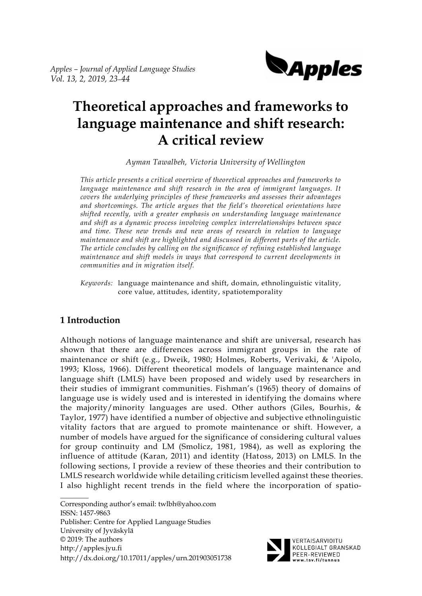

# **Theoretical approaches and frameworks to language maintenance and shift research: A critical review**

*Ayman Tawalbeh, Victoria University of Wellington* 

*This article presents a critical overview of theoretical approaches and frameworks to*  language maintenance and shift research in the area of immigrant languages. It *covers the underlying principles of these frameworks and assesses their advantages and shortcomings. The article argues that the field's theoretical orientations have shifted recently, with a greater emphasis on understanding language maintenance and shift as a dynamic process involving complex interrelationships between space and time. These new trends and new areas of research in relation to language maintenance and shift are highlighted and discussed in different parts of the article. The article concludes by calling on the significance of refining established language maintenance and shift models in ways that correspond to current developments in communities and in migration itself.*

*Keywords:* language maintenance and shift, domain, ethnolinguistic vitality, core value, attitudes, identity, spatiotemporality

## **1 Introduction**

 $\mathcal{L}$ 

Although notions of language maintenance and shift are universal, research has shown that there are differences across immigrant groups in the rate of maintenance or shift (e.g., Dweik, 1980; Holmes, Roberts, Verivaki, & 'Aipolo, 1993; Kloss, 1966). Different theoretical models of language maintenance and language shift (LMLS) have been proposed and widely used by researchers in their studies of immigrant communities. Fishman's (1965) theory of domains of language use is widely used and is interested in identifying the domains where the majority/minority languages are used. Other authors (Giles, Bourhis, & Taylor, 1977) have identified a number of objective and subjective ethnolinguistic vitality factors that are argued to promote maintenance or shift. However, a number of models have argued for the significance of considering cultural values for group continuity and LM (Smolicz, 1981, 1984), as well as exploring the influence of attitude (Karan, 2011) and identity (Hatoss, 2013) on LMLS. In the following sections, I provide a review of these theories and their contribution to LMLS research worldwide while detailing criticism levelled against these theories. I also highlight recent trends in the field where the incorporation of spatio-

Corresponding author's email: twlbh@yahoo.com ISSN: 1457-9863 Publisher: Centre for Applied Language Studies University of Jyväskylä © 2019: The authors http://apples.jyu.fi http://dx.doi.org/10.17011/apples/urn.201903051738



VERTAISARVIOITU KOLLEGIALT GRANSKAD PEER-REVIEWED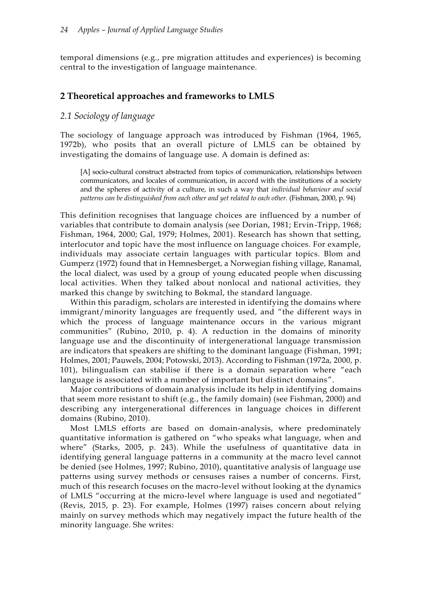temporal dimensions (e.g., pre migration attitudes and experiences) is becoming central to the investigation of language maintenance.

#### **2 Theoretical approaches and frameworks to LMLS**

#### *2.1 Sociology of language*

The sociology of language approach was introduced by Fishman (1964, 1965, 1972b), who posits that an overall picture of LMLS can be obtained by investigating the domains of language use. A domain is defined as:

[A] socio-cultural construct abstracted from topics of communication, relationships between communicators, and locales of communication, in accord with the institutions of a society and the spheres of activity of a culture, in such a way that *individual behaviour and social patterns can be distinguished from each other and yet related to each other.* (Fishman, 2000, p. 94)

This definition recognises that language choices are influenced by a number of variables that contribute to domain analysis (see Dorian, 1981; Ervin-Tripp, 1968; Fishman, 1964, 2000; Gal, 1979; Holmes, 2001). Research has shown that setting, interlocutor and topic have the most influence on language choices. For example, individuals may associate certain languages with particular topics. Blom and Gumperz (1972) found that in Hemnesberget, a Norwegian fishing village, Ranamal, the local dialect, was used by a group of young educated people when discussing local activities. When they talked about nonlocal and national activities, they marked this change by switching to Bokmal, the standard language.

Within this paradigm, scholars are interested in identifying the domains where immigrant/minority languages are frequently used, and "the different ways in which the process of language maintenance occurs in the various migrant communities" (Rubino, 2010, p. 4). A reduction in the domains of minority language use and the discontinuity of intergenerational language transmission are indicators that speakers are shifting to the dominant language (Fishman, 1991; Holmes, 2001; Pauwels, 2004; Potowski, 2013). According to Fishman (1972a, 2000, p. 101), bilingualism can stabilise if there is a domain separation where "each language is associated with a number of important but distinct domains".

Major contributions of domain analysis include its help in identifying domains that seem more resistant to shift (e.g., the family domain) (see Fishman, 2000) and describing any intergenerational differences in language choices in different domains (Rubino, 2010).

Most LMLS efforts are based on domain-analysis, where predominately quantitative information is gathered on "who speaks what language, when and where" (Starks, 2005, p. 243). While the usefulness of quantitative data in identifying general language patterns in a community at the macro level cannot be denied (see Holmes, 1997; Rubino, 2010), quantitative analysis of language use patterns using survey methods or censuses raises a number of concerns. First, much of this research focuses on the macro-level without looking at the dynamics of LMLS "occurring at the micro-level where language is used and negotiated" (Revis, 2015, p. 23). For example, Holmes (1997) raises concern about relying mainly on survey methods which may negatively impact the future health of the minority language. She writes: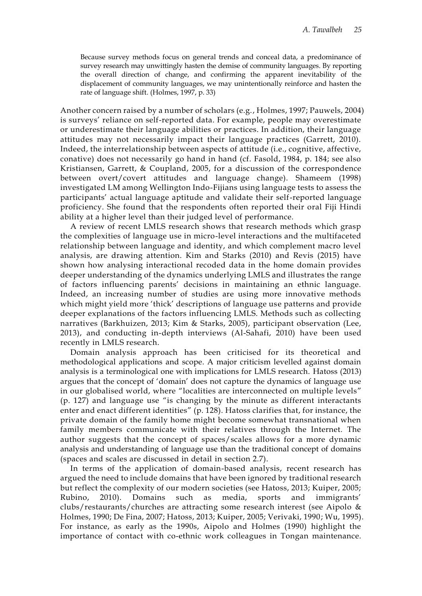Because survey methods focus on general trends and conceal data, a predominance of survey research may unwittingly hasten the demise of community languages. By reporting the overall direction of change, and confirming the apparent inevitability of the displacement of community languages, we may unintentionally reinforce and hasten the rate of language shift. (Holmes, 1997, p. 33)

Another concern raised by a number of scholars (e.g., Holmes, 1997; Pauwels, 2004) is surveys' reliance on self-reported data. For example, people may overestimate or underestimate their language abilities or practices. In addition, their language attitudes may not necessarily impact their language practices (Garrett, 2010). Indeed, the interrelationship between aspects of attitude (i.e., cognitive, affective, conative) does not necessarily go hand in hand (cf. Fasold, 1984, p. 184; see also Kristiansen, Garrett, & Coupland, 2005, for a discussion of the correspondence between overt/covert attitudes and language change). Shameem (1998) investigated LM among Wellington Indo-Fijians using language tests to assess the participants' actual language aptitude and validate their self-reported language proficiency. She found that the respondents often reported their oral Fiji Hindi ability at a higher level than their judged level of performance.

A review of recent LMLS research shows that research methods which grasp the complexities of language use in micro-level interactions and the multifaceted relationship between language and identity, and which complement macro level analysis, are drawing attention. Kim and Starks (2010) and Revis (2015) have shown how analysing interactional recoded data in the home domain provides deeper understanding of the dynamics underlying LMLS and illustrates the range of factors influencing parents' decisions in maintaining an ethnic language. Indeed, an increasing number of studies are using more innovative methods which might yield more 'thick' descriptions of language use patterns and provide deeper explanations of the factors influencing LMLS. Methods such as collecting narratives (Barkhuizen, 2013; Kim & Starks, 2005), participant observation (Lee, 2013), and conducting in-depth interviews (Al-Sahafi, 2010) have been used recently in LMLS research.

Domain analysis approach has been criticised for its theoretical and methodological applications and scope. A major criticism levelled against domain analysis is a terminological one with implications for LMLS research. Hatoss (2013) argues that the concept of 'domain' does not capture the dynamics of language use in our globalised world, where "localities are interconnected on multiple levels" (p. 127) and language use "is changing by the minute as different interactants enter and enact different identities" (p. 128). Hatoss clarifies that, for instance, the private domain of the family home might become somewhat transnational when family members communicate with their relatives through the Internet. The author suggests that the concept of spaces/scales allows for a more dynamic analysis and understanding of language use than the traditional concept of domains (spaces and scales are discussed in detail in section 2.7).

In terms of the application of domain-based analysis, recent research has argued the need to include domains that have been ignored by traditional research but reflect the complexity of our modern societies (see Hatoss, 2013; Kuiper, 2005; Rubino, 2010). Domains such as media, sports and immigrants' clubs/restaurants/churches are attracting some research interest (see Aipolo & Holmes, 1990; De Fina, 2007; Hatoss, 2013; Kuiper, 2005; Verivaki, 1990; Wu, 1995). For instance, as early as the 1990s, Aipolo and Holmes (1990) highlight the importance of contact with co-ethnic work colleagues in Tongan maintenance.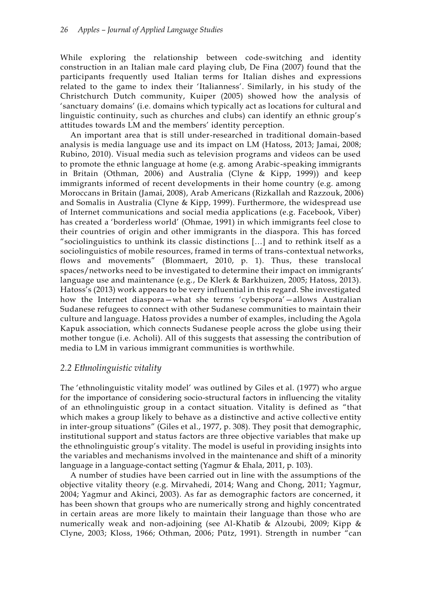While exploring the relationship between code-switching and identity construction in an Italian male card playing club, De Fina (2007) found that the participants frequently used Italian terms for Italian dishes and expressions related to the game to index their 'Italianness'. Similarly, in his study of the Christchurch Dutch community, Kuiper (2005) showed how the analysis of 'sanctuary domains' (i.e. domains which typically act as locations for cultural and linguistic continuity, such as churches and clubs) can identify an ethnic group's attitudes towards LM and the members' identity perception.

An important area that is still under-researched in traditional domain-based analysis is media language use and its impact on LM (Hatoss, 2013; Jamai, 2008; Rubino, 2010). Visual media such as television programs and videos can be used to promote the ethnic language at home (e.g. among Arabic-speaking immigrants in Britain (Othman, 2006) and Australia (Clyne & Kipp, 1999)) and keep immigrants informed of recent developments in their home country (e.g. among Moroccans in Britain (Jamai, 2008), Arab Americans (Rizkallah and Razzouk, 2006) and Somalis in Australia (Clyne & Kipp, 1999). Furthermore, the widespread use of Internet communications and social media applications (e.g. Facebook, Viber) has created a 'borderless world' (Ohmae, 1991) in which immigrants feel close to their countries of origin and other immigrants in the diaspora. This has forced "sociolinguistics to unthink its classic distinctions […] and to rethink itself as a sociolinguistics of mobile resources, framed in terms of trans-contextual networks, flows and movements" (Blommaert, 2010, p. 1). Thus, these translocal spaces/networks need to be investigated to determine their impact on immigrants' language use and maintenance (e.g., De Klerk & Barkhuizen, 2005; Hatoss, 2013). Hatoss's (2013) work appears to be very influential in this regard. She investigated how the Internet diaspora—what she terms 'cyberspora'—allows Australian Sudanese refugees to connect with other Sudanese communities to maintain their culture and language. Hatoss provides a number of examples, including the Agola Kapuk association, which connects Sudanese people across the globe us ing their mother tongue (i.e. Acholi). All of this suggests that assessing the contribution of media to LM in various immigrant communities is worthwhile.

## *2.2 Ethnolinguistic vitality*

The 'ethnolinguistic vitality model' was outlined by Giles et al. (1977) who argue for the importance of considering socio-structural factors in influencing the vitality of an ethnolinguistic group in a contact situation. Vitality is defined as "that which makes a group likely to behave as a distinctive and active collective entity in inter-group situations" (Giles et al., 1977, p. 308). They posit that demographic, institutional support and status factors are three objective variables that make up the ethnolinguistic group's vitality. The model is useful in providing insights into the variables and mechanisms involved in the maintenance and shift of a minority language in a language-contact setting (Yagmur & Ehala, 2011, p. 103).

A number of studies have been carried out in line with the assumptions of the objective vitality theory (e.g. Mirvahedi, 2014; Wang and Chong, 2011; Yagmur, 2004; Yagmur and Akinci, 2003). As far as demographic factors are concerned, it has been shown that groups who are numerically strong and highly concentrated in certain areas are more likely to maintain their language than those who are numerically weak and non-adjoining (see Al-Khatib & Alzoubi, 2009; Kipp & Clyne, 2003; Kloss, 1966; Othman, 2006; Pütz, 1991). Strength in number "can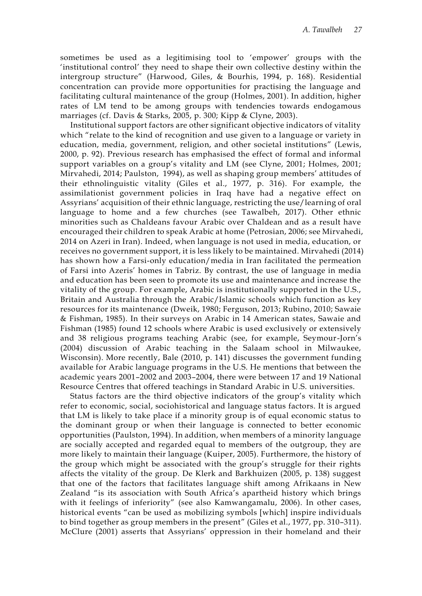sometimes be used as a legitimising tool to 'empower' groups with the 'institutional control' they need to shape their own collective destiny within the intergroup structure" (Harwood, Giles, & Bourhis, 1994, p. 168). Residential concentration can provide more opportunities for practising the language and facilitating cultural maintenance of the group (Holmes, 2001). In addition, higher rates of LM tend to be among groups with tendencies towards endogamous marriages (cf. Davis & Starks, 2005, p. 300; Kipp & Clyne, 2003).

Institutional support factors are other significant objective indicators of vitality which "relate to the kind of recognition and use given to a language or variety in education, media, government, religion, and other societal institutions" (Lewis, 2000, p. 92). Previous research has emphasised the effect of formal and informal support variables on a group's vitality and LM (see Clyne, 2001; Holmes, 2001; Mirvahedi, 2014; Paulston, 1994), as well as shaping group members' attitudes of their ethnolinguistic vitality (Giles et al., 1977, p. 316). For example, the assimilationist government policies in Iraq have had a negative effect on Assyrians' acquisition of their ethnic language, restricting the use/learning of oral language to home and a few churches (see Tawalbeh, 2017). Other ethnic minorities such as Chaldeans favour Arabic over Chaldean and as a result have encouraged their children to speak Arabic at home (Petrosian, 2006; see Mirvahedi, 2014 on Azeri in Iran). Indeed, when language is not used in media, education, or receives no government support, it is less likely to be maintained. Mirvahedi (2014) has shown how a Farsi-only education/media in Iran facilitated the permeation of Farsi into Azeris' homes in Tabriz. By contrast, the use of language in media and education has been seen to promote its use and maintenance and increase the vitality of the group. For example, Arabic is institutionally supported in the U.S., Britain and Australia through the Arabic/Islamic schools which function as key resources for its maintenance (Dweik, 1980; Ferguson, 2013; Rubino, 2010; Sawaie & Fishman, 1985). In their surveys on Arabic in 14 American states, Sawaie and Fishman (1985) found 12 schools where Arabic is used exclusively or extensively and 38 religious programs teaching Arabic (see, for example, Seymour-Jorn's (2004) discussion of Arabic teaching in the Salaam school in Milwaukee, Wisconsin). More recently, Bale (2010, p. 141) discusses the government funding available for Arabic language programs in the U.S. He mentions that between the academic years 2001–2002 and 2003–2004, there were between 17 and 19 National Resource Centres that offered teachings in Standard Arabic in U.S. universities.

Status factors are the third objective indicators of the group's vitality which refer to economic, social, sociohistorical and language status factors. It is argued that LM is likely to take place if a minority group is of equal economic status to the dominant group or when their language is connected to better economic opportunities (Paulston, 1994). In addition, when members of a minority language are socially accepted and regarded equal to members of the outgroup, they are more likely to maintain their language (Kuiper, 2005). Furthermore, the history of the group which might be associated with the group's struggle for their rights affects the vitality of the group. De Klerk and Barkhuizen (2005, p. 138) suggest that one of the factors that facilitates language shift among Afrikaans in New Zealand "is its association with South Africa's apartheid history which brings with it feelings of inferiority" (see also Kamwangamalu, 2006). In other cases, historical events "can be used as mobilizing symbols [which] inspire individuals to bind together as group members in the present" (Giles et al., 1977, pp. 310–311). McClure (2001) asserts that Assyrians' oppression in their homeland and their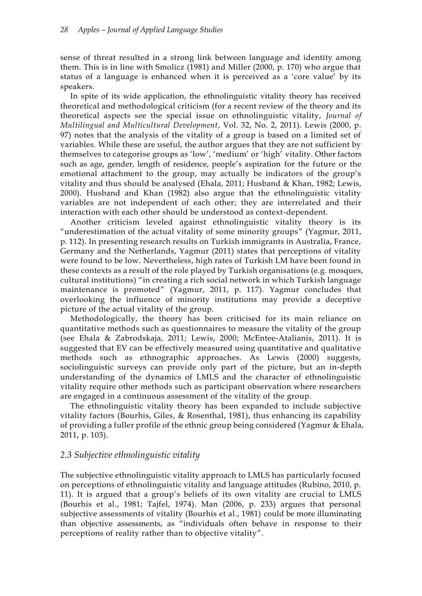sense of threat resulted in a strong link between language and identity among them. This is in line with Smolicz (1981) and Miller (2000, p. 170) who argue that status of a language is enhanced when it is perceived as a 'core value' by its speakers.

In spite of its wide application, the ethnolinguistic vitality theory has received theoretical and methodological criticism (for a recent review of the theory and its theoretical aspects see the special issue on ethnolinguistic vitality, *Journal of Multilingual and Multicultural Development*, Vol. 32, No. 2, 2011). Lewis (2000, p. 97) notes that the analysis of the vitality of a group is based on a limited set of variables. While these are useful, the author argues that they are not sufficient by themselves to categorise groups as 'low', 'medium' or 'high' vitality. Other factors such as age, gender, length of residence, people's aspiration for the future or the emotional attachment to the group, may actually be indicators of the group's vitality and thus should be analysed (Ehala, 2011; Husband & Khan, 1982; Lewis, 2000). Husband and Khan (1982) also argue that the ethnolinguistic vitality variables are not independent of each other; they are interrelated and their interaction with each other should be understood as context-dependent.

Another criticism leveled against ethnolinguistic vitality theory is its "underestimation of the actual vitality of some minority groups" (Yagmur, 2011, p. 112). In presenting research results on Turkish immigrants in Australia, France, Germany and the Netherlands, Yagmur (2011) states that perceptions of vitality were found to be low. Nevertheless, high rates of Turkish LM have been found in these contexts as a result of the role played by Turkish organisations (e.g. mosques, cultural institutions) "in creating a rich social network in which Turkish language maintenance is promoted" (Yagmur, 2011, p. 117). Yagmur concludes that overlooking the influence of minority institutions may provide a deceptive picture of the actual vitality of the group.

Methodologically, the theory has been criticised for its main reliance on quantitative methods such as questionnaires to measure the vitality of the group (see Ehala & Zabrodskaja, 2011; Lewis, 2000; McEntee-Atalianis, 2011). It is suggested that EV can be effectively measured using quantitative and qualitative methods such as ethnographic approaches. As Lewis (2000) suggests, sociolinguistic surveys can provide only part of the picture, but an in-depth understanding of the dynamics of LMLS and the character of ethnolinguistic vitality require other methods such as participant observation where researchers are engaged in a continuous assessment of the vitality of the group.

The ethnolinguistic vitality theory has been expanded to include subjective vitality factors (Bourhis, Giles, & Rosenthal, 1981), thus enhancing its capability of providing a fuller profile of the ethnic group being considered (Yagmur & Ehala, 2011, p. 103).

## *2.3 Subjective ethnolinguistic vitality*

The subjective ethnolinguistic vitality approach to LMLS has particularly focused on perceptions of ethnolinguistic vitality and language attitudes (Rubino, 2010, p. 11). It is argued that a group's beliefs of its own vitality are crucial to LMLS (Bourhis et al., 1981; Tajfel, 1974). Man (2006, p. 233) argues that personal subjective assessments of vitality (Bourhis et al., 1981) could be more illuminating than objective assessments, as "individuals often behave in response to their perceptions of reality rather than to objective vitality".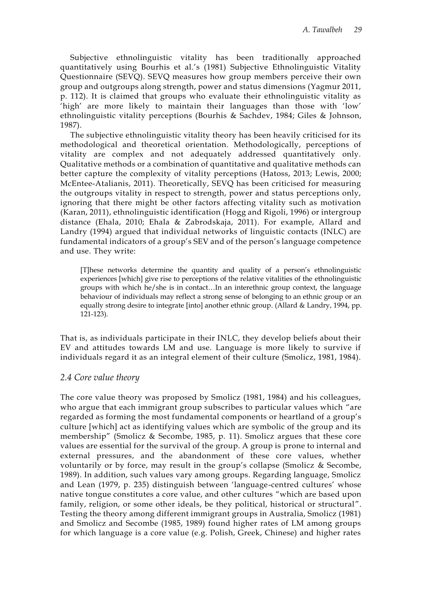Subjective ethnolinguistic vitality has been traditionally approached quantitatively using Bourhis et al.'s (1981) Subjective Ethnolinguistic Vitality Questionnaire (SEVQ). SEVQ measures how group members perceive their own group and outgroups along strength, power and status dimensions (Yagmur 2011, p. 112). It is claimed that groups who evaluate their ethnolinguistic vitality as 'high' are more likely to maintain their languages than those with 'low' ethnolinguistic vitality perceptions (Bourhis & Sachdev, 1984; Giles & Johnson, 1987).

The subjective ethnolinguistic vitality theory has been heavily criticised for its methodological and theoretical orientation. Methodologically, perceptions of vitality are complex and not adequately addressed quantitatively only. Qualitative methods or a combination of quantitative and qualitative methods can better capture the complexity of vitality perceptions (Hatoss, 2013; Lewis, 2000; McEntee-Atalianis, 2011). Theoretically, SEVQ has been criticised for measuring the outgroups vitality in respect to strength, power and status perceptions only, ignoring that there might be other factors affecting vitality such as motivation (Karan, 2011), ethnolinguistic identification (Hogg and Rigoli, 1996) or intergroup distance (Ehala, 2010; Ehala & Zabrodskaja, 2011). For example, Allard and Landry (1994) argued that individual networks of linguistic contacts (INLC) are fundamental indicators of a group's SEV and of the person's language competence and use. They write:

[T]hese networks determine the quantity and quality of a person's ethnolinguistic experiences [which] give rise to perceptions of the relative vitalities of the ethnolinguistic groups with which he/she is in contact…In an interethnic group context, the language behaviour of individuals may reflect a strong sense of belonging to an ethnic group or an equally strong desire to integrate [into] another ethnic group. (Allard & Landry, 1994, pp. 121-123).

That is, as individuals participate in their INLC, they develop beliefs about their EV and attitudes towards LM and use. Language is more likely to survive if individuals regard it as an integral element of their culture (Smolicz, 1981, 1984).

## *2.4 Core value theory*

The core value theory was proposed by Smolicz (1981, 1984) and his colleagues, who argue that each immigrant group subscribes to particular values which "are regarded as forming the most fundamental components or heartland of a group's culture [which] act as identifying values which are symbolic of the group and its membership" (Smolicz & Secombe, 1985, p. 11). Smolicz argues that these core values are essential for the survival of the group. A group is prone to internal and external pressures, and the abandonment of these core values, whether voluntarily or by force, may result in the group's collapse (Smolicz & Secombe, 1989). In addition, such values vary among groups. Regarding language, Smolicz and Lean (1979, p. 235) distinguish between 'language-centred cultures' whose native tongue constitutes a core value, and other cultures "which are based upon family, religion, or some other ideals, be they political, historical or structural". Testing the theory among different immigrant groups in Australia, Smolicz (1981) and Smolicz and Secombe (1985, 1989) found higher rates of LM among groups for which language is a core value (e.g. Polish, Greek, Chinese) and higher rates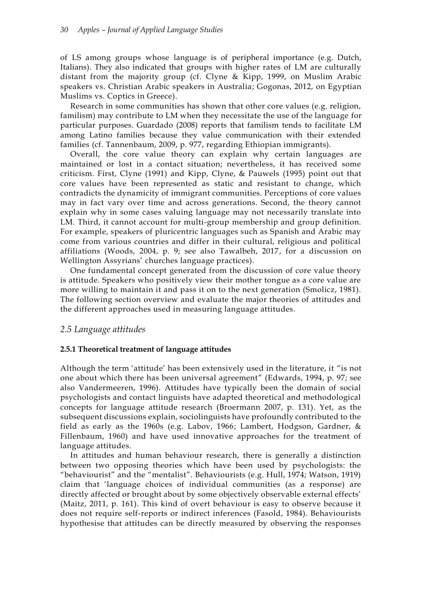of LS among groups whose language is of peripheral importance (e.g. Dutch, Italians). They also indicated that groups with higher rates of LM are culturally distant from the majority group (cf. Clyne & Kipp, 1999, on Muslim Arabic speakers vs. Christian Arabic speakers in Australia; Gogonas, 2012, on Egyptian Muslims vs. Coptics in Greece).

Research in some communities has shown that other core values (e.g. religion, familism) may contribute to LM when they necessitate the use of the language for particular purposes. Guardado (2008) reports that familism tends to facilitate LM among Latino families because they value communication with their extended families (cf. Tannenbaum, 2009, p. 977, regarding Ethiopian immigrants).

Overall, the core value theory can explain why certain languages are maintained or lost in a contact situation; nevertheless, it has received some criticism. First, Clyne (1991) and Kipp, Clyne, & Pauwels (1995) point out that core values have been represented as static and resistant to change, which contradicts the dynamicity of immigrant communities. Perceptions of core values may in fact vary over time and across generations. Second, the theory cannot explain why in some cases valuing language may not necessarily translate into LM. Third, it cannot account for multi-group membership and group definition. For example, speakers of pluricentric languages such as Spanish and Arabic may come from various countries and differ in their cultural, religious and political affiliations (Woods, 2004, p. 9; see also Tawalbeh, 2017, for a discussion on Wellington Assyrians' churches language practices).

One fundamental concept generated from the discussion of core value theory is attitude. Speakers who positively view their mother tongue as a core value are more willing to maintain it and pass it on to the next generation (Smolicz, 1981). The following section overview and evaluate the major theories of attitudes and the different approaches used in measuring language attitudes.

#### *2.5 Language attitudes*

#### **2.5.1 Theoretical treatment of language attitudes**

Although the term 'attitude' has been extensively used in the literature, it "is not one about which there has been universal agreement" (Edwards, 1994, p. 97; see also Vandermeeren, 1996). Attitudes have typically been the domain of social psychologists and contact linguists have adapted theoretical and methodological concepts for language attitude research (Broermann 2007, p. 131). Yet, as the subsequent discussions explain, sociolinguists have profoundly contributed to the field as early as the 1960s (e.g. Labov, 1966; Lambert, Hodgson, Gardner, & Fillenbaum, 1960) and have used innovative approaches for the treatment of language attitudes.

In attitudes and human behaviour research, there is generally a distinction between two opposing theories which have been used by psychologists: the "behaviourist" and the "mentalist". Behaviourists (e.g. Hull, 1974; Watson, 1919) claim that 'language choices of individual communities (as a response) are directly affected or brought about by some objectively observable external effects' (Maitz, 2011, p. 161). This kind of overt behaviour is easy to observe because it does not require self-reports or indirect inferences (Fasold, 1984). Behaviourists hypothesise that attitudes can be directly measured by observing the responses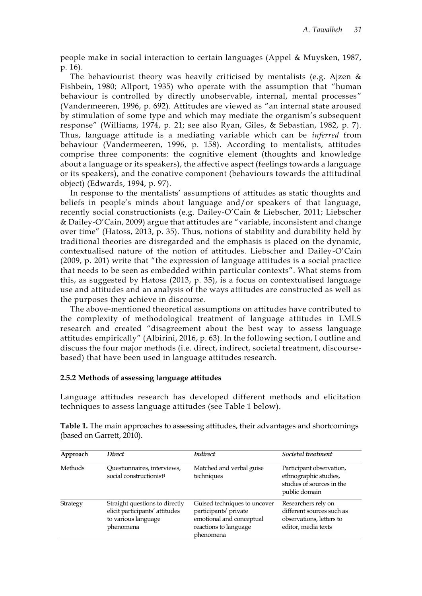people make in social interaction to certain languages (Appel & Muysken, 1987, p. 16).

The behaviourist theory was heavily criticised by mentalists (e.g. Ajzen  $\&$ Fishbein, 1980; Allport, 1935) who operate with the assumption that "human behaviour is controlled by directly unobservable, internal, mental processes" (Vandermeeren, 1996, p. 692). Attitudes are viewed as "an internal state aroused by stimulation of some type and which may mediate the organism's subsequent response" (Williams, 1974, p. 21; see also Ryan, Giles, & Sebastian, 1982, p. 7). Thus, language attitude is a mediating variable which can be *inferred* from behaviour (Vandermeeren, 1996, p. 158). According to mentalists, attitudes comprise three components: the cognitive element (thoughts and knowledge about a language or its speakers), the affective aspect (feelings towards a language or its speakers), and the conative component (behaviours towards the attitudinal object) (Edwards, 1994, p. 97).

In response to the mentalists' assumptions of attitudes as static thoughts and beliefs in people's minds about language and/or speakers of that language, recently social constructionists (e.g. Dailey-O'Cain & Liebscher, 2011; Liebscher & Dailey-O'Cain, 2009) argue that attitudes are "variable, inconsistent and change over time" (Hatoss, 2013, p. 35). Thus, notions of stability and durability held by traditional theories are disregarded and the emphasis is placed on the dynamic, contextualised nature of the notion of attitudes. Liebscher and Dailey-O'Cain (2009, p. 201) write that "the expression of language attitudes is a social practice that needs to be seen as embedded within particular contexts". What stems from this, as suggested by Hatoss (2013, p. 35), is a focus on contextualised language use and attitudes and an analysis of the ways attitudes are constructed as well as the purposes they achieve in discourse.

The above-mentioned theoretical assumptions on attitudes have contributed to the complexity of methodological treatment of language attitudes in LMLS research and created "disagreement about the best way to assess language attitudes empirically" (Albirini, 2016, p. 63). In the following section, I outline and discuss the four major methods (i.e. direct, indirect, societal treatment, discoursebased) that have been used in language attitudes research.

#### **2.5.2 Methods of assessing language attitudes**

Language attitudes research has developed different methods and elicitation techniques to assess language attitudes (see Table 1 below).

|          | (based on Garrett, 2010). |                 |                    |  |  |  |  |  |
|----------|---------------------------|-----------------|--------------------|--|--|--|--|--|
| Approach | <i>Direct</i>             | <b>Indirect</b> | Societal treatment |  |  |  |  |  |

**Table 1.** The main approaches to assessing attitudes, their advantages and shortcomings

| <b>Methods</b> | Questionnaires, interviews,<br>social constructionist <sup>1</sup>                                   | Matched and verbal guise<br>techniques                                                                                  | Participant observation,<br>ethnographic studies,<br>studies of sources in the<br>public domain     |
|----------------|------------------------------------------------------------------------------------------------------|-------------------------------------------------------------------------------------------------------------------------|-----------------------------------------------------------------------------------------------------|
| Strategy       | Straight questions to directly<br>elicit participants' attitudes<br>to various language<br>phenomena | Guised techniques to uncover<br>participants' private<br>emotional and conceptual<br>reactions to language<br>phenomena | Researchers rely on<br>different sources such as<br>observations, letters to<br>editor, media texts |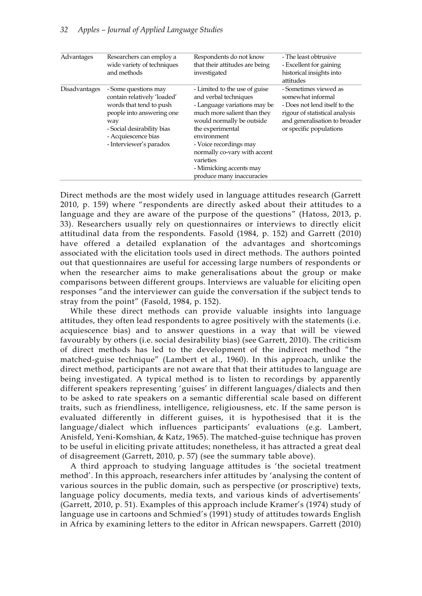| Advantages           | Researchers can employ a<br>wide variety of techniques<br>and methods                                                                                                                              | Respondents do not know<br>that their attitudes are being<br>investigated                                                                                                                                                                                                                                            | - The least obtrusive<br>- Excellent for gaining<br>historical insights into<br>attitudes                                                                                 |
|----------------------|----------------------------------------------------------------------------------------------------------------------------------------------------------------------------------------------------|----------------------------------------------------------------------------------------------------------------------------------------------------------------------------------------------------------------------------------------------------------------------------------------------------------------------|---------------------------------------------------------------------------------------------------------------------------------------------------------------------------|
| <b>Disadvantages</b> | - Some questions may<br>contain relatively 'loaded'<br>words that tend to push<br>people into answering one<br>way<br>- Social desirability bias<br>- Acquiescence bias<br>- Interviewer's paradox | - Limited to the use of guise<br>and verbal techniques<br>- Language variations may be<br>much more salient than they<br>would normally be outside<br>the experimental<br>environment<br>- Voice recordings may<br>normally co-vary with accent<br>varieties<br>- Mimicking accents may<br>produce many inaccuracies | - Sometimes viewed as<br>somewhat informal<br>- Does not lend itself to the<br>rigour of statistical analysis<br>and generalisation to broader<br>or specific populations |

Direct methods are the most widely used in language attitudes research (Garrett 2010, p. 159) where "respondents are directly asked about their attitudes to a language and they are aware of the purpose of the questions" (Hatoss, 2013, p. 33). Researchers usually rely on questionnaires or interviews to directly elicit attitudinal data from the respondents. Fasold (1984, p. 152) and Garrett (2010) have offered a detailed explanation of the advantages and shortcomings associated with the elicitation tools used in direct methods. The authors pointed out that questionnaires are useful for accessing large numbers of respondents or when the researcher aims to make generalisations about the group or make comparisons between different groups. Interviews are valuable for eliciting open responses "and the interviewer can guide the conversation if the subject tends to stray from the point" (Fasold, 1984, p. 152).

While these direct methods can provide valuable insights into language attitudes, they often lead respondents to agree positively with the statements (i.e. acquiescence bias) and to answer questions in a way that will be viewed favourably by others (i.e. social desirability bias) (see Garrett, 2010). The criticism of direct methods has led to the development of the indirect method "the matched-guise technique" (Lambert et al., 1960). In this approach, unlike the direct method, participants are not aware that that their attitudes to language are being investigated. A typical method is to listen to recordings by apparently different speakers representing 'guises' in different languages/dialects and then to be asked to rate speakers on a semantic differential scale based on different traits, such as friendliness, intelligence, religiousness, etc. If the same person is evaluated differently in different guises, it is hypothesised that it is the language/dialect which influences participants' evaluations (e.g. Lambert, Anisfeld, Yeni-Komshian, & Katz, 1965). The matched-guise technique has proven to be useful in eliciting private attitudes; nonetheless, it has attracted a great deal of disagreement (Garrett, 2010, p. 57) (see the summary table above).

A third approach to studying language attitudes is 'the societal treatment method'. In this approach, researchers infer attitudes by 'analysing the content of various sources in the public domain, such as perspective (or proscriptive) texts, language policy documents, media texts, and various kinds of advertisements' (Garrett, 2010, p. 51). Examples of this approach include Kramer's (1974) study of language use in cartoons and Schmied's (1991) study of attitudes towards English in Africa by examining letters to the editor in African newspapers. Garrett (2010)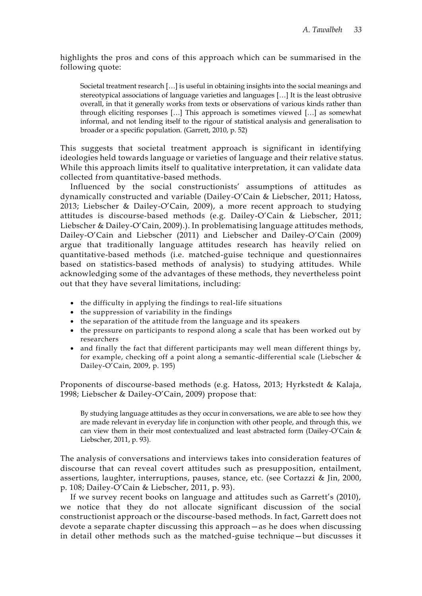highlights the pros and cons of this approach which can be summarised in the following quote:

Societal treatment research […] is useful in obtaining insights into the social meanings and stereotypical associations of language varieties and languages […] It is the least obtrusive overall, in that it generally works from texts or observations of various kinds rather than through eliciting responses […] This approach is sometimes viewed […] as somewhat informal, and not lending itself to the rigour of statistical analysis and generalisation to broader or a specific population. (Garrett, 2010, p. 52)

This suggests that societal treatment approach is significant in identifying ideologies held towards language or varieties of language and their relative status. While this approach limits itself to qualitative interpretation, it can validate data collected from quantitative-based methods.

Influenced by the social constructionists' assumptions of attitudes as dynamically constructed and variable (Dailey-O'Cain & Liebscher, 2011; Hatoss, 2013; Liebscher & Dailey-O'Cain, 2009), a more recent approach to studying attitudes is discourse-based methods (e.g. Dailey-O'Cain & Liebscher, 2011; Liebscher & Dailey-O'Cain, 2009).). In problematising language attitudes methods, Dailey-O'Cain and Liebscher (2011) and Liebscher and Dailey-O'Cain (2009) argue that traditionally language attitudes research has heavily relied on quantitative-based methods (i.e. matched-guise technique and questionnaires based on statistics-based methods of analysis) to studying attitudes. While acknowledging some of the advantages of these methods, they nevertheless point out that they have several limitations, including:

- the difficulty in applying the findings to real-life situations
- the suppression of variability in the findings
- the separation of the attitude from the language and its speakers
- the pressure on participants to respond along a scale that has been worked out by researchers
- and finally the fact that different participants may well mean different things by, for example, checking off a point along a semantic-differential scale (Liebscher & Dailey-O'Cain, 2009, p. 195)

Proponents of discourse-based methods (e.g. Hatoss, 2013; Hyrkstedt & Kalaja, 1998; Liebscher & Dailey-O'Cain, 2009) propose that:

By studying language attitudes as they occur in conversations, we are able to see how they are made relevant in everyday life in conjunction with other people, and through this, we can view them in their most contextualized and least abstracted form (Dailey-O'Cain & Liebscher, 2011, p. 93).

The analysis of conversations and interviews takes into consideration features of discourse that can reveal covert attitudes such as presupposition, entailment, assertions, laughter, interruptions, pauses, stance, etc. (see Cortazzi & Jin, 2000, p. 108; Dailey-O'Cain & Liebscher, 2011, p. 93).

If we survey recent books on language and attitudes such as Garrett's (2010), we notice that they do not allocate significant discussion of the social constructionist approach or the discourse-based methods. In fact, Garrett does not devote a separate chapter discussing this approach—as he does when discussing in detail other methods such as the matched-guise technique—but discusses it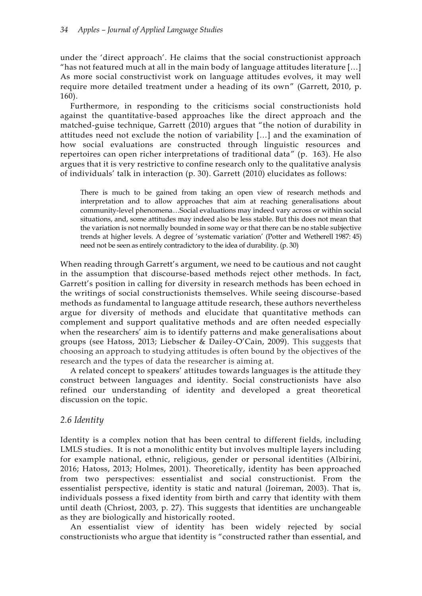under the 'direct approach'. He claims that the social constructionist approach "has not featured much at all in the main body of language attitudes literature […] As more social constructivist work on language attitudes evolves, it may well require more detailed treatment under a heading of its own" (Garrett, 2010, p. 160).

Furthermore, in responding to the criticisms social constructionists hold against the quantitative-based approaches like the direct approach and the matched-guise technique, Garrett (2010) argues that "the notion of durability in attitudes need not exclude the notion of variability […] and the examination of how social evaluations are constructed through linguistic resources and repertoires can open richer interpretations of traditional data" (p. 163). He also argues that it is very restrictive to confine research only to the qualitative analysis of individuals' talk in interaction (p. 30). Garrett (2010) elucidates as follows:

There is much to be gained from taking an open view of research methods and interpretation and to allow approaches that aim at reaching generalisations about community-level phenomena…Social evaluations may indeed vary across or within social situations, and, some attitudes may indeed also be less stable. But this does not mean that the variation is not normally bounded in some way or that there can be no stable subjective trends at higher levels. A degree of 'systematic variation' (Potter and Wetherell 1987: 45) need not be seen as entirely contradictory to the idea of durability. (p. 30)

When reading through Garrett's argument, we need to be cautious and not caught in the assumption that discourse-based methods reject other methods. In fact, Garrett's position in calling for diversity in research methods has been echoed in the writings of social constructionists themselves. While seeing discourse-based methods as fundamental to language attitude research, these authors nevertheless argue for diversity of methods and elucidate that quantitative methods can complement and support qualitative methods and are often needed especially when the researchers' aim is to identify patterns and make generalisations about groups (see Hatoss, 2013; Liebscher & Dailey-O'Cain, 2009). This suggests that choosing an approach to studying attitudes is often bound by the objectives of the research and the types of data the researcher is aiming at.

A related concept to speakers' attitudes towards languages is the attitude they construct between languages and identity. Social constructionists have also refined our understanding of identity and developed a great theoretical discussion on the topic.

## *2.6 Identity*

Identity is a complex notion that has been central to different fields, including LMLS studies. It is not a monolithic entity but involves multiple layers including for example national, ethnic, religious, gender or personal identities (Albirini, 2016; Hatoss, 2013; Holmes, 2001). Theoretically, identity has been approached from two perspectives: essentialist and social constructionist. From the essentialist perspective, identity is static and natural (Joireman, 2003). That is, individuals possess a fixed identity from birth and carry that identity with them until death (Chriost, 2003, p. 27). This suggests that identities are unchangeable as they are biologically and historically rooted.

An essentialist view of identity has been widely rejected by social constructionists who argue that identity is "constructed rather than essential, and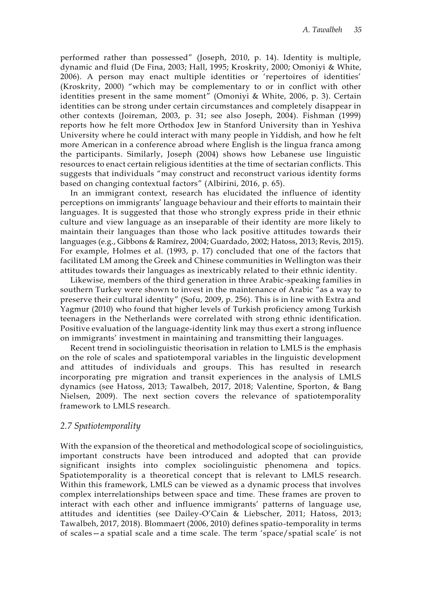performed rather than possessed" (Joseph, 2010, p. 14). Identity is multiple, dynamic and fluid (De Fina, 2003; Hall, 1995; Kroskrity, 2000; Omoniyi & White, 2006). A person may enact multiple identities or 'repertoires of identities' (Kroskrity, 2000) "which may be complementary to or in conflict with other identities present in the same moment" (Omoniyi & White, 2006, p. 3). Certain identities can be strong under certain circumstances and completely disappear in other contexts (Joireman, 2003, p. 31; see also Joseph, 2004). Fishman (1999) reports how he felt more Orthodox Jew in Stanford University than in Yeshiva University where he could interact with many people in Yiddish, and how he felt more American in a conference abroad where English is the lingua franca among the participants. Similarly, Joseph (2004) shows how Lebanese use linguistic resources to enact certain religious identities at the time of sectarian conflicts. This suggests that individuals "may construct and reconstruct various identity forms based on changing contextual factors" (Albirini, 2016, p. 65).

In an immigrant context, research has elucidated the influence of identity perceptions on immigrants' language behaviour and their efforts to maintain their languages. It is suggested that those who strongly express pride in their ethnic culture and view language as an inseparable of their identity are more likely to maintain their languages than those who lack positive attitudes towards their languages (e.g., Gibbons & Ramírez, 2004; Guardado, 2002; Hatoss, 2013; Revis, 2015). For example, Holmes et al. (1993, p. 17) concluded that one of the factors that facilitated LM among the Greek and Chinese communities in Wellington was their attitudes towards their languages as inextricably related to their ethnic identity.

Likewise, members of the third generation in three Arabic-speaking families in southern Turkey were shown to invest in the maintenance of Arabic "as a way to preserve their cultural identity" (Sofu, 2009, p. 256). This is in line with Extra and Yagmur (2010) who found that higher levels of Turkish proficiency among Turkish teenagers in the Netherlands were correlated with strong ethnic identification. Positive evaluation of the language-identity link may thus exert a strong influence on immigrants' investment in maintaining and transmitting their languages.

Recent trend in sociolinguistic theorisation in relation to LMLS is the emphasis on the role of scales and spatiotemporal variables in the linguistic development and attitudes of individuals and groups. This has resulted in research incorporating pre migration and transit experiences in the analysis of LMLS dynamics (see Hatoss, 2013; Tawalbeh, 2017, 2018; Valentine, Sporton, & Bang Nielsen, 2009). The next section covers the relevance of spatiotemporality framework to LMLS research.

#### *2.7 Spatiotemporality*

With the expansion of the theoretical and methodological scope of sociolinguistics, important constructs have been introduced and adopted that can provide significant insights into complex sociolinguistic phenomena and topics. Spatiotemporality is a theoretical concept that is relevant to LMLS research. Within this framework, LMLS can be viewed as a dynamic process that involves complex interrelationships between space and time. These frames are proven to interact with each other and influence immigrants' patterns of language use, attitudes and identities (see Dailey-O'Cain & Liebscher, 2011; Hatoss, 2013; Tawalbeh, 2017, 2018). Blommaert (2006, 2010) defines spatio-temporality in terms of scales—a spatial scale and a time scale. The term 'space/spatial scale' is not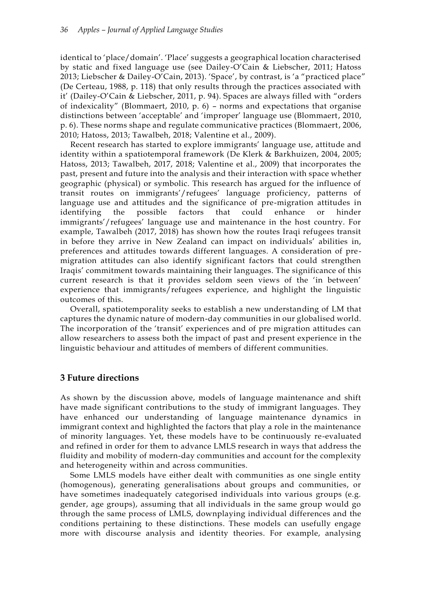identical to 'place/domain'. 'Place' suggests a geographical location characterised by static and fixed language use (see Dailey-O'Cain & Liebscher, 2011; Hatoss 2013; Liebscher & Dailey-O'Cain, 2013). 'Space', by contrast, is 'a "practiced place" (De Certeau, 1988, p. 118) that only results through the practices associated with it' (Dailey-O'Cain & Liebscher, 2011, p. 94). Spaces are always filled with "orders of indexicality" (Blommaert, 2010, p. 6) – norms and expectations that organise distinctions between 'acceptable' and 'improper' language use (Blommaert, 2010, p. 6). These norms shape and regulate communicative practices (Blommaert, 2006, 2010; Hatoss, 2013; Tawalbeh, 2018; Valentine et al., 2009).

Recent research has started to explore immigrants' language use, attitude and identity within a spatiotemporal framework (De Klerk & Barkhuizen, 2004, 2005; Hatoss, 2013; Tawalbeh, 2017, 2018; Valentine et al., 2009) that incorporates the past, present and future into the analysis and their interaction with space whether geographic (physical) or symbolic. This research has argued for the influence of transit routes on immigrants'/refugees' language proficiency, patterns of language use and attitudes and the significance of pre-migration attitudes in identifying the possible factors that could enhance or hinder immigrants'/refugees' language use and maintenance in the host country. For example, Tawalbeh (2017, 2018) has shown how the routes Iraqi refugees transit in before they arrive in New Zealand can impact on individuals' abilities in, preferences and attitudes towards different languages. A consideration of premigration attitudes can also identify significant factors that could strengthen Iraqis' commitment towards maintaining their languages. The significance of this current research is that it provides seldom seen views of the 'in between' experience that immigrants/refugees experience, and highlight the linguistic outcomes of this.

Overall, spatiotemporality seeks to establish a new understanding of LM that captures the dynamic nature of modern-day communities in our globalised world. The incorporation of the 'transit' experiences and of pre migration attitudes can allow researchers to assess both the impact of past and present experience in the linguistic behaviour and attitudes of members of different communities.

## **3 Future directions**

As shown by the discussion above, models of language maintenance and shift have made significant contributions to the study of immigrant languages. They have enhanced our understanding of language maintenance dynamics in immigrant context and highlighted the factors that play a role in the maintenance of minority languages. Yet, these models have to be continuously re-evaluated and refined in order for them to advance LMLS research in ways that address the fluidity and mobility of modern-day communities and account for the complexity and heterogeneity within and across communities.

Some LMLS models have either dealt with communities as one single entity (homogenous), generating generalisations about groups and communities, or have sometimes inadequately categorised individuals into various groups (e.g. gender, age groups), assuming that all individuals in the same group would go through the same process of LMLS, downplaying individual differences and the conditions pertaining to these distinctions. These models can usefully engage more with discourse analysis and identity theories. For example, analysing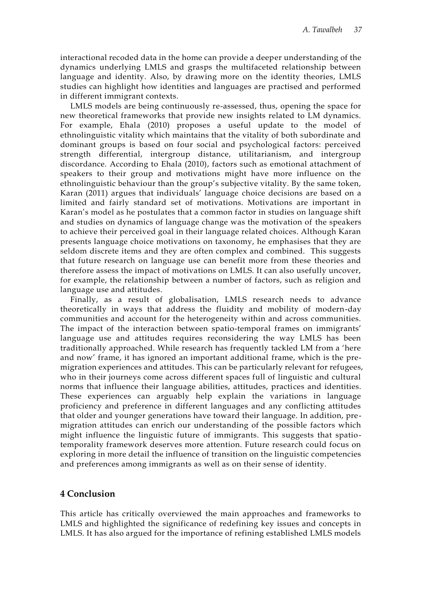interactional recoded data in the home can provide a deeper understanding of the dynamics underlying LMLS and grasps the multifaceted relationship between language and identity. Also, by drawing more on the identity theories, LMLS studies can highlight how identities and languages are practised and performed in different immigrant contexts.

LMLS models are being continuously re-assessed, thus, opening the space for new theoretical frameworks that provide new insights related to LM dynamics. For example, Ehala (2010) proposes a useful update to the model of ethnolinguistic vitality which maintains that the vitality of both subordinate and dominant groups is based on four social and psychological factors: perceived strength differential, intergroup distance, utilitarianism, and intergroup discordance. According to Ehala (2010), factors such as emotional attachment of speakers to their group and motivations might have more influence on the ethnolinguistic behaviour than the group's subjective vitality. By the same token, Karan (2011) argues that individuals' language choice decisions are based on a limited and fairly standard set of motivations. Motivations are important in Karan's model as he postulates that a common factor in studies on language shift and studies on dynamics of language change was the motivation of the speakers to achieve their perceived goal in their language related choices. Although Karan presents language choice motivations on taxonomy, he emphasises that they are seldom discrete items and they are often complex and combined. This suggests that future research on language use can benefit more from these theories and therefore assess the impact of motivations on LMLS. It can also usefully uncover, for example, the relationship between a number of factors, such as religion and language use and attitudes.

Finally, as a result of globalisation, LMLS research needs to advance theoretically in ways that address the fluidity and mobility of modern-day communities and account for the heterogeneity within and across communities. The impact of the interaction between spatio-temporal frames on immigrants' language use and attitudes requires reconsidering the way LMLS has been traditionally approached. While research has frequently tackled LM from a 'here and now' frame, it has ignored an important additional frame, which is the premigration experiences and attitudes. This can be particularly relevant for refugees, who in their journeys come across different spaces full of linguistic and cultural norms that influence their language abilities, attitudes, practices and identities. These experiences can arguably help explain the variations in language proficiency and preference in different languages and any conflicting attitudes that older and younger generations have toward their language. In addition, premigration attitudes can enrich our understanding of the possible factors which might influence the linguistic future of immigrants. This suggests that spatiotemporality framework deserves more attention. Future research could focus on exploring in more detail the influence of transition on the linguistic competencies and preferences among immigrants as well as on their sense of identity.

#### **4 Conclusion**

This article has critically overviewed the main approaches and frameworks to LMLS and highlighted the significance of redefining key issues and concepts in LMLS. It has also argued for the importance of refining established LMLS models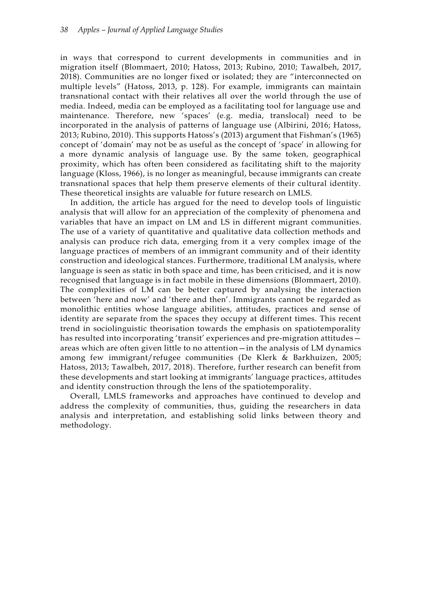in ways that correspond to current developments in communities and in migration itself (Blommaert, 2010; Hatoss, 2013; Rubino, 2010; Tawalbeh, 2017, 2018). Communities are no longer fixed or isolated; they are "interconnected on multiple levels" (Hatoss, 2013, p. 128). For example, immigrants can maintain transnational contact with their relatives all over the world through the use of media. Indeed, media can be employed as a facilitating tool for language use and maintenance. Therefore, new 'spaces' (e.g. media, translocal) need to be incorporated in the analysis of patterns of language use (Albirini, 2016; Hatoss, 2013; Rubino, 2010). This supports Hatoss's (2013) argument that Fishman's (1965) concept of 'domain' may not be as useful as the concept of 'space' in allowing for a more dynamic analysis of language use. By the same token, geographical proximity, which has often been considered as facilitating shift to the majority language (Kloss, 1966), is no longer as meaningful, because immigrants can create transnational spaces that help them preserve elements of their cultural identity. These theoretical insights are valuable for future research on LMLS.

In addition, the article has argued for the need to develop tools of linguistic analysis that will allow for an appreciation of the complexity of phenomena and variables that have an impact on LM and LS in different migrant communities. The use of a variety of quantitative and qualitative data collection methods and analysis can produce rich data, emerging from it a very complex image of the language practices of members of an immigrant community and of their identity construction and ideological stances. Furthermore, traditional LM analysis, where language is seen as static in both space and time, has been criticised, and it is now recognised that language is in fact mobile in these dimensions (Blommaert, 2010). The complexities of LM can be better captured by analysing the interaction between 'here and now' and 'there and then'. Immigrants cannot be regarded as monolithic entities whose language abilities, attitudes, practices and sense of identity are separate from the spaces they occupy at different times. This recent trend in sociolinguistic theorisation towards the emphasis on spatiotemporality has resulted into incorporating 'transit' experiences and pre-migration attitudes areas which are often given little to no attention—in the analysis of LM dynamics among few immigrant/refugee communities (De Klerk & Barkhuizen, 2005; Hatoss, 2013; Tawalbeh, 2017, 2018). Therefore, further research can benefit from these developments and start looking at immigrants' language practices, attitudes and identity construction through the lens of the spatiotemporality.

Overall, LMLS frameworks and approaches have continued to develop and address the complexity of communities, thus, guiding the researchers in data analysis and interpretation, and establishing solid links between theory and methodology.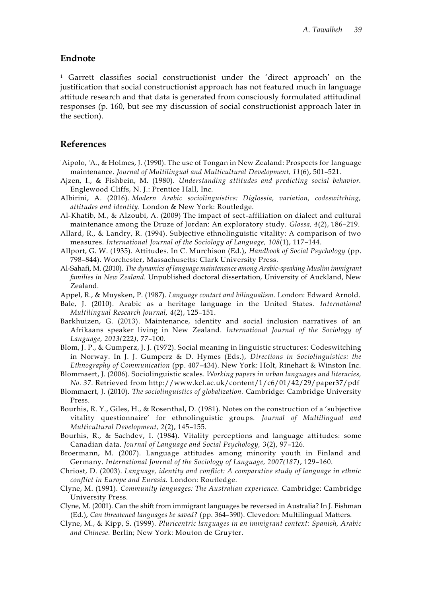#### **Endnote**

<sup>1</sup> Garrett classifies social constructionist under the 'direct approach' on the justification that social constructionist approach has not featured much in language attitude research and that data is generated from consciously formulated attitudinal responses (p. 160, but see my discussion of social constructionist approach later in the section).

## **References**

- 'Aipolo, 'A., & Holmes, J. (1990). The use of Tongan in New Zealand: Prospects for language maintenance. *Journal of Multilingual and Multicultural Development, 11*(6), 501–521.
- Ajzen, I., & Fishbein, M. (1980). *Understanding attitudes and predicting social behavior.* Englewood Cliffs, N. J.: Prentice Hall, Inc.
- Albirini, A. (2016). *Modern Arabic sociolinguistics: Diglossia, variation, codeswitching, attitudes and identity.* London & New York: Routledge.
- Al-Khatib, M., & Alzoubi, A. (2009) The impact of sect-affiliation on dialect and cultural maintenance among the Druze of Jordan: An exploratory study. *Glossa, 4*(2), 186–219.
- Allard, R., & Landry, R. (1994). Subjective ethnolinguistic vitality: A comparison of two measures. *International Journal of the Sociology of Language, 108*(1), 117–144.
- Allport, G. W. (1935). Attitudes. In C. Murchison (Ed.), *Handbook of Social Psychology* (pp. 798–844). Worchester, Massachusetts: Clark University Press.
- Al-Sahafi, M. (2010). *The dynamics of language maintenance among Arabic-speaking Muslim immigrant families in New Zealand.* Unpublished doctoral dissertation, University of Auckland, New Zealand.
- Appel, R., & Muysken, P. (1987). *Language contact and bilingualism.* London: Edward Arnold.
- Bale, J. (2010). Arabic as a heritage language in the United States. *International Multilingual Research Journal, 4*(2), 125–151.
- Barkhuizen, G. (2013). Maintenance, identity and social inclusion narratives of an Afrikaans speaker living in New Zealand. *International Journal of the Sociology of Language, 2013(*222*)*, 77–100.
- Blom, J. P., & Gumperz, J. J. (1972). Social meaning in linguistic structures: Codeswitching in Norway. In J. J. Gumperz & D. Hymes (Eds.), *Directions in Sociolinguistics: the Ethnography of Communication* (pp. 407–434). New York: Holt, Rinehart & Winston Inc.
- Blommaert, J. (2006). Sociolinguistic scales. *Working papers in urban languages and literacies, No. 37*. Retrieved from http://www.kcl.ac.uk/content/1/c6/01/42/29/paper37/pdf
- Blommaert, J. (2010). *The sociolinguistics of globalization.* Cambridge: Cambridge University Press.
- Bourhis, R. Y., Giles, H., & Rosenthal, D. (1981). Notes on the construction of a 'subjective vitality questionnaire' for ethnolinguistic groups. *Journal of Multilingual and Multicultural Development, 2*(2), 145–155.
- Bourhis, R., & Sachdev, I. (1984). Vitality perceptions and language attitudes: some Canadian data. *Journal of Language and Social Psychology,* 3(2), 97–126.
- Broermann, M. (2007). Language attitudes among minority youth in Finland and Germany. *International Journal of the Sociology of Language, 2007(187)*, 129–160.
- Chriost, D. (2003). *Language, identity and conflict: A comparative study of language in ethnic conflict in Europe and Eurasia.* London: Routledge.
- Clyne, M. (1991). *Community languages: The Australian experience.* Cambridge: Cambridge University Press.
- Clyne, M. (2001). Can the shift from immigrant languages be reversed in Australia? In J. Fishman (Ed.), *Can threatened languages be saved?* (pp. 364–390). Clevedon: Multilingual Matters.
- Clyne, M., & Kipp, S. (1999). *Pluricentric languages in an immigrant context: Spanish, Arabic and Chinese.* Berlin; New York: Mouton de Gruyter.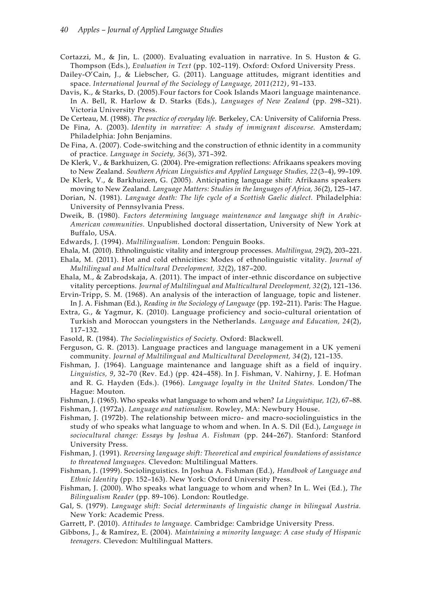- Cortazzi, M., & Jin, L. (2000). Evaluating evaluation in narrative. In S. Huston & G. Thompson (Eds.), *Evaluation in Text* (pp. 102–119). Oxford: Oxford University Press.
- Dailey-O'Cain, J., & Liebscher, G. (2011). Language attitudes, migrant identities and space. *International Journal of the Sociology of Language, 2011(212)*, 91–133.
- Davis, K., & Starks, D. (2005).Four factors for Cook Islands Maori language maintenance. In A. Bell, R. Harlow & D. Starks (Eds.), *Languages of New Zealand* (pp. 298–321). Victoria University Press.
- De Certeau, M. (1988). *The practice of everyday life.* Berkeley, CA: University of California Press.
- De Fina, A. (2003). *Identity in narrative: A study of immigrant discourse.* Amsterdam; Philadelphia: John Benjamins.
- De Fina, A. (2007). Code-switching and the construction of ethnic identity in a community of practice. *Language in Society, 36*(3), 371–392.
- De Klerk, V., & Barkhuizen, G. (2004). Pre-emigration reflections: Afrikaans speakers moving to New Zealand. *Southern African Linguistics and Applied Language Studies, 22*(3–4), 99–109.
- De Klerk, V., & Barkhuizen, G. (2005). Anticipating language shift: Afrikaans speakers moving to New Zealand. *Language Matters: Studies in the languages of Africa, 36*(2), 125–147.
- Dorian, N. (1981). *Language death: The life cycle of a Scottish Gaelic dialect.* Philadelphia: University of Pennsylvania Press.
- Dweik, B. (1980). *Factors determining language maintenance and language shift in Arabic-American communities.* Unpublished doctoral dissertation, University of New York at Buffalo, USA.
- Edwards, J. (1994). *Multilingualism.* London: Penguin Books.
- Ehala, M. (2010). Ethnolinguistic vitality and intergroup processes. *Multilingua, 29*(2), 203–221.
- Ehala, M. (2011). Hot and cold ethnicities: Modes of ethnolinguistic vitality. *Journal of Multilingual and Multicultural Development, 32*(2), 187–200.
- Ehala, M., & Zabrodskaja, A. (2011). The impact of inter-ethnic discordance on subjective vitality perceptions. *Journal of Multilingual and Multicultural Development, 32*(2), 121–136.
- Ervin-Tripp, S. M. (1968). An analysis of the interaction of language, topic and listener. In J. A. Fishman (Ed.), *Reading in the Sociology of Language* (pp. 192–211). Paris: The Hague.
- Extra, G., & Yagmur, K. (2010). Language proficiency and socio-cultural orientation of Turkish and Moroccan youngsters in the Netherlands. *Language and Education, 24*(2), 117–132.
- Fasold, R. (1984). *The Sociolinguistics of Society.* Oxford: Blackwell.
- Ferguson, G. R. (2013). Language practices and language management in a UK yemeni community. *Journal of Multilingual and Multicultural Development, 34*(2), 121–135.
- Fishman, J. (1964). Language maintenance and language shift as a field of inquiry. *Linguistics, 9*, 32–70 (Rev. Ed.) (pp. 424–458). In J. Fishman, V. Nahirny, J. E. Hofman and R. G. Hayden (Eds.). (1966). *Language loyalty in the United States.* London/The Hague: Mouton.
- Fishman, J. (1965). Who speaks what language to whom and when? *La Linguistique, 1(2)*, 67–88. Fishman, J. (1972a). *Language and nationalism.* Rowley, MA: Newbury House.
- Fishman, J. (1972b). The relationship between micro- and macro-sociolinguistics in the study of who speaks what language to whom and when. In A. S. Dil (Ed.), *Language in sociocultural change: Essays by Joshua A. Fishman* (pp. 244–267). Stanford: Stanford University Press.
- Fishman, J. (1991). *Reversing language shift: Theoretical and empirical foundations of assistance to threatened languages.* Clevedon: Multilingual Matters.
- Fishman, J. (1999). Sociolinguistics. In Joshua A. Fishman (Ed.), *Handbook of Language and Ethnic Identity* (pp. 152–163). New York: Oxford University Press.
- Fishman, J. (2000). Who speaks what language to whom and when? In L. Wei (Ed.), *The Bilingualism Reader* (pp. 89–106). London: Routledge.
- Gal, S. (1979). *Language shift: Social determinants of linguistic change in bilingual Austria.* New York: Academic Press.
- Garrett, P. (2010). *Attitudes to language.* Cambridge: Cambridge University Press.
- Gibbons, J., & Ramírez, E. (2004). *Maintaining a minority language: A case study of Hispanic teenagers.* Clevedon: Multilingual Matters.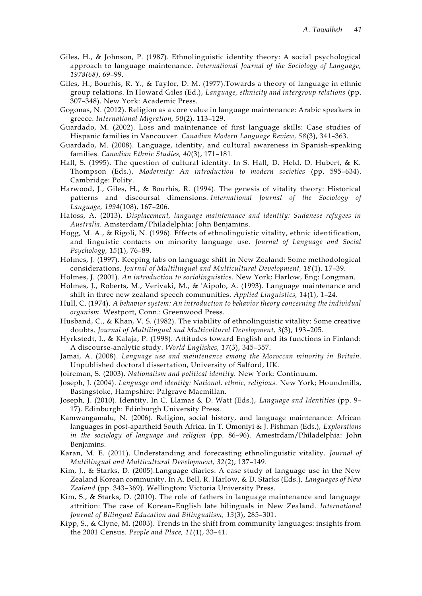- Giles, H., & Johnson, P. (1987). Ethnolinguistic identity theory: A social psychological approach to language maintenance. *International Journal of the Sociology of Language, 1978(68)*, 69–99.
- Giles, H., Bourhis, R. Y., & Taylor, D. M. (1977).Towards a theory of language in ethnic group relations. In Howard Giles (Ed.), *Language, ethnicity and intergroup relations* (pp. 307–348). New York: Academic Press.
- Gogonas, N. (2012). Religion as a core value in language maintenance: Arabic speakers in greece. *International Migration, 50*(2), 113–129.
- Guardado, M. (2002). Loss and maintenance of first language skills: Case studies of Hispanic families in Vancouver. *Canadian Modern Language Review, 58*(3), 341–363.
- Guardado, M. (2008). Language, identity, and cultural awareness in Spanish-speaking families. *Canadian Ethnic Studies, 40*(3), 171–181.
- Hall, S. (1995). The question of cultural identity. In S. Hall, D. Held, D. Hubert, & K. Thompson (Eds.), *Modernity: An introduction to modern societies* (pp. 595–634). Cambridge: Polity.
- Harwood, J., Giles, H., & Bourhis, R. (1994). The genesis of vitality theory: Historical patterns and discoursal dimensions. *International Journal of the Sociology of Language, 1994*(108), 167–206.
- Hatoss, A. (2013). *Displacement, language maintenance and identity: Sudanese refugees in Australia.* Amsterdam/Philadelphia: John Benjamins.
- Hogg, M. A., & Rigoli, N. (1996). Effects of ethnolinguistic vitality, ethnic identification, and linguistic contacts on minority language use. *Journal of Language and Social Psychology, 15*(1), 76–89.
- Holmes, J. (1997). Keeping tabs on language shift in New Zealand: Some methodological considerations. *Journal of Multilingual and Multicultural Development, 18*(1). 17–39.
- Holmes, J. (2001). *An introduction to sociolinguistics.* New York; Harlow, Eng: Longman.
- Holmes, J., Roberts, M., Verivaki, M., & 'Aipolo, A. (1993). Language maintenance and shift in three new zealand speech communities. *Applied Linguistics, 14*(1), 1–24.
- Hull, C. (1974). *A behavior system: An introduction to behavior theory concerning the individual organism.* Westport, Conn.: Greenwood Press.
- Husband, C., & Khan, V. S. (1982). The viability of ethnolinguistic vitality: Some creative doubts. *Journal of Multilingual and Multicultural Development, 3*(3), 193–205.
- Hyrkstedt, I., & Kalaja, P. (1998). Attitudes toward English and its functions in Finland: A discourse‐analytic study. *World Englishes, 17*(3), 345–357.
- Jamai, A. (2008). *Language use and maintenance among the Moroccan minority in Britain.* Unpublished doctoral dissertation, University of Salford, UK.
- Joireman, S. (2003). *Nationalism and political identity.* New York: Continuum.
- Joseph, J. (2004). *Language and identity: National, ethnic, religious.* New York; Houndmills, Basingstoke, Hampshire: Palgrave Macmillan.
- Joseph, J. (2010). Identity. In C. Llamas & D. Watt (Eds.), *Language and Identities* (pp. 9– 17). Edinburgh: Edinburgh University Press.
- Kamwangamalu, N. (2006). Religion, social history, and language maintenance: African languages in post-apartheid South Africa. In T. Omoniyi & J. Fishman (Eds.), *Explorations in the sociology of language and religion* (pp. 86–96). Amestrdam/Philadelphia: John Benjamins.
- Karan, M. E. (2011). Understanding and forecasting ethnolinguistic vitality. *Journal of Multilingual and Multicultural Development, 32*(2), 137–149.
- Kim, J., & Starks, D. (2005).Language diaries: A case study of language use in the New Zealand Korean community. In A. Bell, R. Harlow, & D. Starks (Eds.), *Languages of New Zealand* (pp. 343–369). Wellington: Victoria University Press.
- Kim, S., & Starks, D. (2010). The role of fathers in language maintenance and language attrition: The case of Korean–English late bilinguals in New Zealand. *International Journal of Bilingual Education and Bilingualism, 13*(3), 285–301.
- Kipp, S., & Clyne, M. (2003). Trends in the shift from community languages: insights from the 2001 Census. *People and Place, 11*(1), 33–41.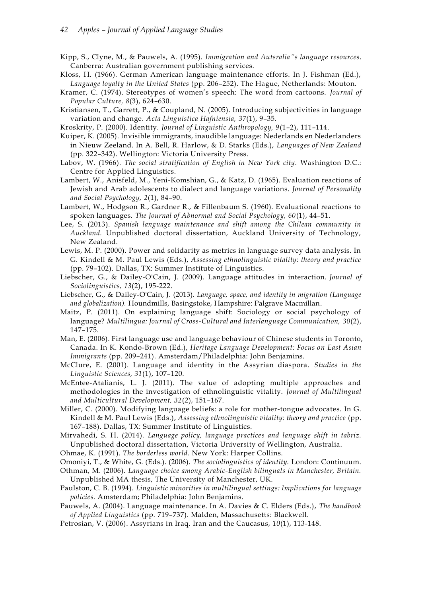- Kipp, S., Clyne, M., & Pauwels, A. (1995). *Immigration and Autsralia"s language resources*. Canberra: Australian government publishing services.
- Kloss, H. (1966). German American language maintenance efforts. In J. Fishman (Ed.), *Language loyalty in the United States* (pp. 206–252). The Hague, Netherlands: Mouton.
- Kramer, C. (1974). Stereotypes of women's speech: The word from cartoons. *Journal of Popular Culture, 8*(3), 624–630.
- Kristiansen, T., Garrett, P., & Coupland, N. (2005). Introducing subjectivities in language variation and change. *Acta Linguistica Hafniensia, 37*(1), 9–35.
- Kroskrity, P. (2000). Identity. *Journal of Linguistic Anthropology, 9*(1–2), 111–114.
- Kuiper, K. (2005). Invisible immigrants, inaudible language: Nederlands en Nederlanders in Nieuw Zeeland. In A. Bell, R. Harlow, & D. Starks (Eds.), *Languages of New Zealand* (pp. 322–342). Wellington: Victoria University Press.
- Labov, W. (1966). *The social stratification of English in New York city.* Washington D.C.: Centre for Applied Linguistics.
- Lambert, W., Anisfeld, M., Yeni-Komshian, G., & Katz, D. (1965). Evaluation reactions of Jewish and Arab adolescents to dialect and language variations. *Journal of Personality and Social Psychology, 2*(1), 84–90.
- Lambert, W., Hodgson R., Gardner R., & Fillenbaum S. (1960). Evaluational reactions to spoken languages. *The Journal of Abnormal and Social Psychology, 60*(1), 44–51.
- Lee, S. (2013). *Spanish language maintenance and shift among the Chilean community in Auckland.* Unpublished doctoral dissertation, Auckland University of Technology, New Zealand.
- Lewis, M. P. (2000). Power and solidarity as metrics in language survey data analysis. In G. Kindell & M. Paul Lewis (Eds.), *Assessing ethnolinguistic vitality: theory and practice* (pp. 79–102). Dallas, TX: Summer Institute of Linguistics.
- Liebscher, G., & Dailey‐O'Cain, J. (2009). Language attitudes in interaction. *Journal of Sociolinguistics, 13*(2), 195-222.
- Liebscher, G., & Dailey-O'Cain, J. (2013). *Language, space, and identity in migration (Language and globalization).* Houndmills, Basingstoke, Hampshire: Palgrave Macmillan.
- Maitz, P. (2011). On explaining language shift: Sociology or social psychology of language? *Multilingua: Journal of Cross-Cultural and Interlanguage Communication, 30*(2), 147–175.
- Man, E. (2006). First language use and language behaviour of Chinese students in Toronto, Canada. In K. Kondo-Brown (Ed.), *Heritage Language Development: Focus on East Asian Immigrants* (pp. 209–241). Amsterdam/Philadelphia: John Benjamins.
- McClure, E. (2001). Language and identity in the Assyrian diaspora. *Studies in the Linguistic Sciences, 31*(1), 107–120.
- McEntee-Atalianis, L. J. (2011). The value of adopting multiple approaches and methodologies in the investigation of ethnolinguistic vitality. *Journal of Multilingual and Multicultural Development, 32*(2), 151–167.
- Miller, C. (2000). Modifying language beliefs: a role for mother-tongue advocates. In G. Kindell & M. Paul Lewis (Eds.), *Assessing ethnolinguistic vitality: theory and practice* (pp. 167–188). Dallas, TX: Summer Institute of Linguistics.
- Mirvahedi, S. H. (2014). *Language policy, language practices and language shift in tabriz.* Unpublished doctoral dissertation, Victoria University of Wellington, Australia.
- Ohmae, K. (1991). *The borderless world.* New York: Harper Collins.
- Omoniyi, T., & White, G. (Eds.). (2006). *The sociolinguistics of identity.* London: Continuum.
- Othman, M. (2006). *Language choice among Arabic-English bilinguals in Manchester, Britain.* Unpublished MA thesis, The University of Manchester, UK.
- Paulston, C. B. (1994). *Linguistic minorities in multilingual settings: Implications for language policies.* Amsterdam; Philadelphia: John Benjamins.
- Pauwels, A. (2004). Language maintenance. In A. Davies & C. Elders (Eds.), *The handbook of Applied Linguistics* (pp. 719–737). Malden, Massachusetts: Blackwell.
- Petrosian, V. (2006). Assyrians in Iraq. Iran and the Caucasus, *10*(1), 113-148.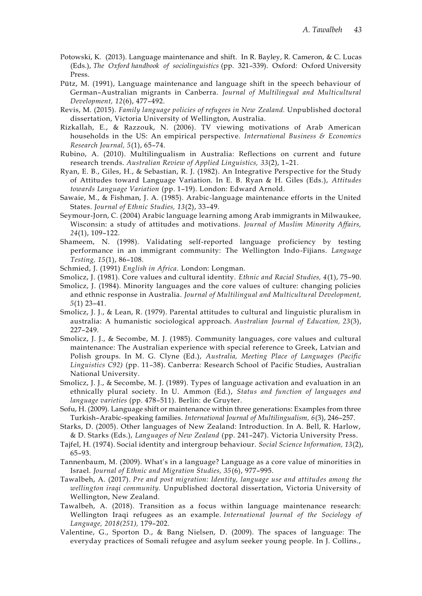- Potowski, K. (2013). Language maintenance and shift. In R. Bayley, R. Cameron, & C. Lucas (Eds.), *The Oxford handbook of sociolinguistics* (pp. 321–339). Oxford: Oxford University Press.
- Pütz, M. (1991), Language maintenance and language shift in the speech behaviour of German–Australian migrants in Canberra. *Journal of Multilingual and Multicultural Development, 12*(6), 477–492.
- Revis, M. (2015). *Family language policies of refugees in New Zealand.* Unpublished doctoral dissertation, Victoria University of Wellington, Australia.
- Rizkallah, E., & Razzouk, N. (2006). TV viewing motivations of Arab American households in the US: An empirical perspective. *International Business & Economics Research Journal, 5*(1), 65–74.
- Rubino, A. (2010). Multilingualism in Australia: Reflections on current and future research trends. *Australian Review of Applied Linguistics, 33*(2), 1–21.
- Ryan, E. B., Giles, H., & Sebastian, R. J. (1982). An Integrative Perspective for the Study of Attitudes toward Language Variation. In E. B. Ryan & H. Giles (Eds.), *Attitudes towards Language Variation* (pp. 1–19). London: Edward Arnold.
- Sawaie, M., & Fishman, J. A. (1985). Arabic-language maintenance efforts in the United States. *Journal of Ethnic Studies, 13*(2), 33–49.
- Seymour-Jorn, C. (2004) Arabic language learning among Arab immigrants in Milwaukee, Wisconsin: a study of attitudes and motivations. *Journal of Muslim Minority Affairs, 24*(1), 109–122.
- Shameem, N. (1998). Validating self-reported language proficiency by testing performance in an immigrant community: The Wellington Indo-Fijians. *Language Testing, 15*(1), 86–108.
- Schmied, J. (1991) *English in Africa.* London: Longman.
- Smolicz, J. (1981). Core values and cultural identity. *Ethnic and Racial Studies, 4*(1), 75–90.
- Smolicz, J. (1984). Minority languages and the core values of culture: changing policies and ethnic response in Australia. *Journal of Multilingual and Multicultural Development, 5*(1) 23–41.
- Smolicz, J. J., & Lean, R. (1979). Parental attitudes to cultural and linguistic pluralism in australia: A humanistic sociological approach. *Australian Journal of Education, 23*(3), 227–249.
- Smolicz, J. J., & Secombe, M. J. (1985). Community languages, core values and cultural maintenance: The Australian experience with special reference to Greek, Latvian and Polish groups. In M. G. Clyne (Ed.), *Australia, Meeting Place of Languages (Pacific Linguistics C92)* (pp. 11–38). Canberra: Research School of Pacific Studies, Australian National University.
- Smolicz, J. J., & Secombe, M. J. (1989). Types of language activation and evaluation in an ethnically plural society. In U. Ammon (Ed.), *Status and function of languages and language varieties* (pp. 478–511). Berlin: de Gruyter.
- Sofu, H. (2009). Language shift or maintenance within three generations: Examples from three Turkish–Arabic-speaking families. *International Journal of Multilingualism, 6*(3), 246–257.
- Starks, D. (2005). Other languages of New Zealand: Introduction. In A. Bell, R. Harlow, & D. Starks (Eds.), *Languages of New Zealand* (pp. 241–247). Victoria University Press.
- Tajfel, H. (1974). Social identity and intergroup behaviour. *Social Science Information, 13*(2), 65–93.
- Tannenbaum, M. (2009). What's in a language? Language as a core value of minorities in Israel. *Journal of Ethnic and Migration Studies, 35*(6), 977–995.
- Tawalbeh, A. (2017). *Pre and post migration: Identity, language use and attitudes among the wellington iraqi community.* Unpublished doctoral dissertation, Victoria University of Wellington, New Zealand.
- Tawalbeh, A. (2018). Transition as a focus within language maintenance research: Wellington Iraqi refugees as an example. *International Journal of the Sociology of Language, 2018(251),* 179–202.
- Valentine, G., Sporton D., & Bang Nielsen, D. (2009). The spaces of language: The everyday practices of Somali refugee and asylum seeker young people. In J. Collins.,